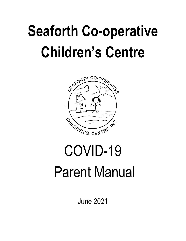# **Seaforth Co-operative Children's Centre**



# COVID-19 Parent Manual

June 2021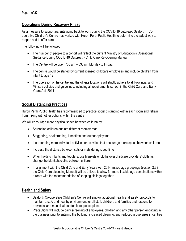#### **Operations During Recovery Phase**

As a measure to support parents going back to work during the COVID-19 outbreak, Seaforth Cooperative Children's Centre has worked with Huron Perth Public Health to determine the safest way to reopen and to offer care.

The following will be followed:

- The number of people to a cohort will reflect the current Ministry of Education's Operational Guidance During COVID-19 Outbreak - Child Care Re-Opening Manual
- The Centre will be open 700 am 530 pm Monday to Friday.
- The centre would be staffed by current licensed childcare employees and include children from infant to age 12
- The operation of the centre and the off-site locations will strictly adhere to all Provincial and Ministry policies and guidelines, including all requirements set out in the Child Care and Early Years Act, 2014

## **Social Distancing Practices**

Huron Perth Public Health has recommended to practice social distancing within each room and refrain from mixing with other cohorts within the centre

We will encourage more physical space between children by:

- Spreading children out into different rooms/areas
- Staggering, or alternating, lunchtime and outdoor playtime;
- Incorporating more individual activities or activities that encourage more space between children
- Increase the distance between cots or mats during sleep time
- When holding infants and toddlers, use blankets or cloths over childcare providers' clothing; change the blankets/cloths between children
- In alignment with the Child Care and Early Years Act, 2014, mixed age groupings (section 2.3 in the Child Care Licensing Manual) will be utilized to allow for more flexible age combinations within a room with the recommendation of keeping siblings together

## **Health and Safety**

- Seaforth Co-operative Children's Centre will employ additional health and safety protocols to maintain a safe and healthy environment for all staff, children, and families and respond to provincial and municipal pandemic response plans.
- Precautions will include daily screening of employees, children and any other person engaging in the business prior to entering the building; increased cleaning; and reduced group sizes in centres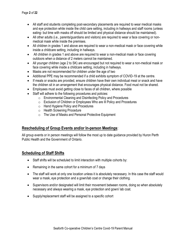- All staff and students completing post-secondary placements are required to wear medical masks and eye protection while inside the child care setting, including in hallways and staff rooms (unless eating- but time with masks off should be limited and physical distance should be maintained).
- All other adults (i.e., parents/guardians and visitors) are required to wear a face covering or nonmedical mask while inside the premises.
- All children in grades 1 and above are required to wear a non-medical mask or face covering while inside a childcare setting, including in hallways.
- All children in grades 1 and above are required to wear a non-medical mask or face covering outdoors when a distance of 2 meters cannot be maintained.
- All younger children (age 2 to SK) are encouraged but not required to wear a non-medical mask or face covering while inside a childcare setting, including in hallways.
- Masks are not recommended for children under the age of two
- Additional PPE may be recommended if a child exhibits symptom of COVID-19 at the centre.
- If meals or snacks are provided, ensure children have their own individual meal or snack and have the children sit in an arrangement that encourages physical distance. Food must not be shared.
- Employees must avoid getting close to faces of all children, where possible
- Staff will adhere to the following procedures and policies:
	- o Environmental Cleaning and Disinfecting Policy and Procedures
	- o Exclusion of Children or Employees Who are Ill Policy and Procedures
	- o Hand Hygiene Policy and Procedures
	- o Health Screening Procedure
	- o The Use of Masks and Personal Protective Equipment

## **Rescheduling of Group Events and/or In-person Meetings**:

All group events or in person meetings will follow the most up to date guidance provided by Huron Perth Public Health and the Government of Ontario.

## **Scheduling of Staff Shifts**

- Staff shifts will be scheduled to limit interaction with multiple cohorts by:
- Remaining in the same cohort for a minimum of 7 days
- The staff will work at only one location unless it is absolutely necessary. In this case the staff would wear a mask, eye protection and a gown/lab coat or change their clothing.
- Supervisors and/or designated will limit their movement between rooms, doing so when absolutely necessary and always wearing a mask, eye protection and gown/ lab coat.
- Supply/replacement staff will be assigned to a specific cohort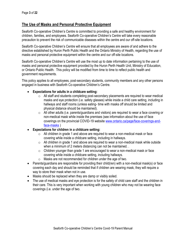#### **The Use of Masks and Personal Protective Equipment**

Seaforth Co-operative Children's Centre is committed to providing a safe and healthy environment for children, families, and employees. Seaforth Co-operative Children's Centre will take every reasonable precaution to prevent the risk of communicable diseases within the centre and our off-site locations.

Seaforth Co-operative Children's Centre will ensure that all employees are aware of and adhere to the directive established by Huron Perth Public Health and the Ontario Ministry of Health, regarding the use of masks and personal protective equipment within the centre and our off-site locations.

Seaforth Co-operative Children's Centre will use the most up to date information pertaining to the use of masks and personal protective equipment provided by the Huron Perth Health Unit, Ministry of Education, or Ontario Public Health. This policy will be modified from time to time to reflect public health and government requirements.

This policy applies to all employees, post-secondary students, community members and any other persons engaged in business with Seaforth Co-operative Children's Centre.

- **Expectations for adults in a childcare setting:**
	- $\circ$  All staff and students completing post-secondary placements are required to wear medical masks and eye protection (i.e. safety glasses) while inside a child care setting, including in hallways and staff rooms (unless eating- time with masks off should be limited and physical distance should be maintained).
	- $\circ$  All other adults (i.e. parents/guardians and visitors) are required to wear a face covering or non-medical mask while inside the premises (see information about the use of face coverings on the provincial COVID-19 website [www.ontario.ca/page/face-coverings-and](http://www.ontario.ca/page/face-coverings-and-face-masks)[face-masks](http://www.ontario.ca/page/face-coverings-and-face-masks) )
- **Expectations for children in a childcare setting:** 
	- $\circ$  All children in grade 1 and above are required to wear a non-medical mask or face covering while inside a childcare setting, including in hallways.
	- $\circ$  All children in grade 1 and above are required to wear a non-medical mask while outside when a minimum of 2 meters distancing can not be maintained. .
	- $\circ$  Children younger than grade 1 are encouraged to wear a non-medical mask or face covering while inside a childcare setting, including hallways.
	- o Masks are not recommended for children under the age of two.
- Parents/guardians are responsible for providing their child(ren) with a non-medical mask(s) or face covering each day and should be reminded that if children are wearing mask, they will require a way to store their mask when not in use.
- Masks should be replaced when they are damp or visibly soiled.
- The use of medical masks and eye protection is for the safety of child care staff and the children in their care. This is very important when working with young children who may not be wearing face coverings (i.e. under the age of two.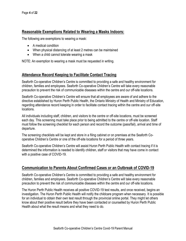#### **Reasonable Exemptions Related to Wearing a Masks Indoors:**

The following are exemptions to wearing a mask:

- A medical condition
- When physical distancing of at least 2 metres can be maintained
- When a child cannot tolerate wearing a mask

NOTE: An exemption to wearing a mask must be requested in writing.

## **Attendance Record Keeping to Facilitate Contact Tracing**

Seaforth Co-operative Children's Centre is committed to providing a safe and healthy environment for children, families and employees. Seaforth Co-operative Children's Centre will take every reasonable precaution to prevent the risk of communicable diseases within the centre and our off-site locations.

Seaforth Co-operative Children's Centre will ensure that all employees are aware of and adhere to the directive established by Huron Perth Public Health, the Ontario Ministry of Health and Ministry of Education, regarding attendance record keeping in order to facilitate contact tracing within the centre and our off-site locations.

All individuals including staff, children, and visitors to the centre or off-site locations, must be screened each day. This screening must take place prior to being admitted to the centre or off-site location. Staff must follow the screening checklist for each person and record the outcome (pass/fail), arrival and time of departure.

The screening checklists will be kept and store in a filing cabinet or on premises at the Seaforth Cooperative Children's Centre or one of the off-site locations for a period of three years.

Seaforth Co-operative Children's Centre will assist Huron Perth Public Health with contact tracing if it is determined the information is needed to identify children, staff or visitors that may have come in contact with a positive case of COVID-19.

## **Communication to Parents About Confirmed Cases or an Outbreak of COVID-19**

Seaforth Co-operative Children's Centre is committed to providing a safe and healthy environment for children, families and employees. Seaforth Co-operative Children's Centre will take every reasonable precaution to prevent the risk of communicable diseases within the centre and our off-site locations.

The Huron Perth Public Health receives all positive COVID-19 test results, and once received, begins an investigation. The Huron Perth Public Health will notify the childcare program when necessary. It is possible for an individual to obtain their own test result through the provincial online portal. They might let others know about their positive result before they have been contacted or counselled by Huron Perth Public Health about what the result means and what they need to do.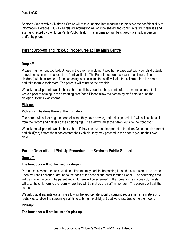Seaforth Co-operative Children's Centre will take all appropriate measures to preserve the confidentiality of information. Personal COVID-19 related information will only be shared and communicated to families and staff as directed by the Huron Perth Public Health. This information will be shared via email, in person and/or by phone.

## **Parent Drop-off and Pick-Up Procedures at The Main Centre**

#### **Drop-off:**

Please ring the front doorbell. Unless in the event of inclement weather, please wait with your child outside to avoid cross contamination of the front vestibule. The Parent must wear a mask at all times. The child(ren) will be screened. If the screening is successful, the staff will take the child(ren) into the centre and take them to their room. The parents will return to their vehicle.

We ask that all parents wait in their vehicle until they see that the parent before them has entered their vehicle prior to coming to the screening area/door. Please allow the screening staff time to bring the child(ren) to their classrooms.

#### **Pick-up:**

#### **Pick up will be done through the front door.**

The parent will call or ring the doorbell when they have arrived, and a designated staff will collect the child from their room and gather up their belongings. The staff will meet the parent outside the front door.

We ask that all parents wait in their vehicle if they observe another parent at the door. Once the prior parent and child(ren) before them has entered their vehicle, they may proceed to the door to pick up their own child.

## **Parent Drop-off and Pick Up Procedures at Seaforth Public School**

#### **Drop-off:**

#### **The front door will not be used for drop-off**.

Parents must wear a mask at all times. Parents may park in the parking lot on the south side of the school. Then walk their child(ren) around to the back of the school and enter through Door D. The screening area will be inside the door. The parent and child(ren) will be screened. If the screening is successful, the staff will take the child(ren) to the room where they will be met by the staff in the room. The parents will exit the school.

We ask that all parents wait in line allowing the appropriate social distancing requirements (2 meters or 6 feet). Please allow the screening staff time to bring the child(ren) that were just drop off to their room.

#### **Pick-up:**

#### **The front door will not be used for pick-up.**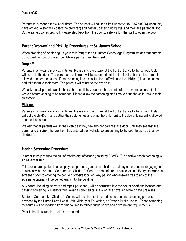Parents must wear a mask at all times. The parents will call the Site Supervisor (519-525-8026) when they have arrived. A staff will collect the child(ren) and gather up their belongings, and meet the parent at Door D; the same door as drop-off. Please step back from the door to safely allow the staff to open the door.

## **Parent Drop-off and Pick Up Procedures at St. James School**

When dropping off or picking up your child(ren) at the St. James School Age Program we ask that parents do not park in front of the school. Please park across the street.

#### **Drop-off:**

Parents must wear a mask at all times. Please ring the buzzer at the front entrance to the school. A staff will come to the door. The parent and child(ren) will be screened outside the front entrance. No parent is allowed to enter the school. If the screening is successful, the staff will take the child(ren) into the school and take them to their room. The parents will return to their vehicle.

We ask that all parents wait in their vehicle until they see that the parent before them has entered their vehicle before coming to be screened. Please allow the screening staff time to bring the child(ren) to their classroom.

#### **Pick-up:**

Parents must wear a mask at all times. Please ring the buzzer at the front entrance to the school. A staff will get the child(ren) and gather their belongings and bring the child(ren) to the door. No parent is allowed to enter the school.

We ask that all parents wait in their vehicle if they see another parent at the door, until they see that the parent and child(ren) before them has entered their vehicle before coming to the door to pick up their own child(ren).

## **Health Screening Procedure**

In order to help reduce the risk of respiratory infections (including COVID19), an active health screening is an essential step.

This procedure applies to all employees, parents, guardians, children, and any other persons engaging in business within Seaforth Co-operative Children's Centre or one of our off-site locations. Everyone **must** be screened prior to entering the centre or off-site location. Any person who answers yes to any of the screening criteria will be denied entry into the building**.** 

All visitors, including delivery and repair personnel, will be permitted into the center or off-site location after passing screening. All visitors must wear a non-medical mask or face covering while on the premises.

Seaforth Co-operative Children's Centre will use the most up to date screen and screening process provided by the Huron Perth Health Unit, Ministry of Education, or Ontario Public Health. These screening measures will be modified from time to time to reflect public health and government requirements.

Prior to health screening, set up is required.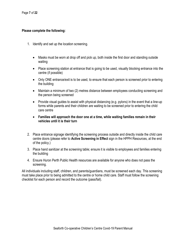#### **Please complete the following:**

- 1. Identify and set up the location screening.
	- Masks must be worn at drop off and pick up, both inside the first door and standing outside waiting
	- Place screening station at entrance that is going to be used, visually blocking entrance into the centre (if possible)
	- Only ONE entrance/exit is to be used, to ensure that each person is screened prior to entering the building
	- Maintain a minimum of two (2) metres distance between employees conducting screening and the person being screened
	- Provide visual guides to assist with physical distancing (e.g. pylons) in the event that a line-up forms while parents and their children are waiting to be screened prior to entering the child care centre
	- **Families will approach the door one at a time, while waiting families remain in their vehicles until it is their turn**
- 2. Place entrance signage identifying the screening process outside and directly inside the child care centre doors (please refer to **Active Screening in Effect** sign in the HPPH Resources, at the end of the policy.)
- 3. Place hand sanitizer at the screening table; ensure it is visible to employees and families entering the building
- 4. Ensure Huron Perth Public Health resources are available for anyone who does not pass the screening.

All individuals including staff, children, and parents/guardians, must be screened each day. This screening must take place prior to being admitted to the centre or home child care. Staff must follow the screening checklist for each person and record the outcome (pass/fail).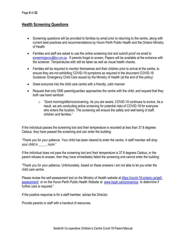## **Health Screening Questions**

- Screening questions will be provided to families by email prior to returning to the centre, along with current best practices and recommendations by Huron Perth Public Health and the Ontario Ministry of Health
- Families and staff are asked to use the online screening tool and submit proof via email to [screeningsccc@tcc.on.ca.](mailto:screeningsccc@tcc.on.ca) If parents forget to screen, Papers will be available at the entrance with the screener. Temperatures with still be taken as well as visual health checks.
- Families will be required to monitor themselves and their children prior to arrival at the centre, to ensure they are not exhibiting COVID-19 symptoms as required in the document COVID-19 Guidance: Emergency Child Care issued by the Ministry of Health (at the end of this policy)
- Greet everyone into the child care centre with a friendly, calm manner
- Request that only ONE parent/quardian approaches the centre with the child, and request that they both use hand sanitizer
	- $\circ$  "Good morning/afternoon/evening. As you are aware, COVID-19 continues to evolve. As a result, we are conducting active screening for potential risks of COVID-19 for everyone who enters the location. The screening will ensure the safety and well-being of staff, children and families."

If the individual passes the screening tool and their temperature is recorded at less than 37.8 degrees Celsius, they have passed the screening and can enter the building:

"Thank you for your patience. Your child has been cleared to enter the centre. A staff member will drop your child in \_\_\_\_\_ room."

If the individual does not pass the screening tool and their temperature is 37.8 degrees Celsius, or the parent refuses to answer, then they have immediately failed the screening and cannot enter the building:

"Thank you for your patience. Unfortunately, based on these answers I am not able to let you enter the child care centre.

Please review the self-assessment tool on the Ministry of Health website a[t https://covid-19.ontario.ca/self](https://covid-19.ontario.ca/self-assessment/)[assessment/](https://covid-19.ontario.ca/self-assessment/) or on the Huron Perth Public Health Website at [www.hpph.ca/coronavirus](http://www.hpph.ca/coronavirus) to determine if further care is required."

If the positive response is for a staff member, advise the Director.

Provide parents or staff with a handout of resources.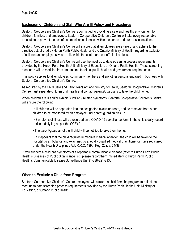## **Exclusion of Children and Staff Who Are Ill Policy and Procedures**

Seaforth Co-operative Children's Centre is committed to providing a safe and healthy environment for children, families, and employees. Seaforth Co-operative Children's Centre will take every reasonable precaution to prevent the risk of communicable diseases within the centre and our off-site locations.

Seaforth Co-operative Children's Centre will ensure that all employees are aware of and adhere to the directive established by Huron Perth Public Health and the Ontario Ministry of Health, regarding exclusion of children and employees who are ill, within the centre and our off-site locations.

Seaforth Co-operative Children's Centre will use the most up to date screening process requirements provided by the Huron Perth Health Unit, Ministry of Education, or Ontario Public Health. These screening measures will be modified from time to time to reflect public health and government requirements.

This policy applies to all employees, community members and any other persons engaged in business with Seaforth Co-operative Children's Centre.

As required by the Child Care and Early Years Act and Ministry of Health, Seaforth Co-operative Children's Centre must separate children of ill health and contact parents/guardians to take the child home.

When children are ill and/or exhibit COVID-19 related symptoms, Seaforth Co-operative Children's Centre will ensure the following:

• Ill children will be separated into the designated exclusion room, and be removed from other children to be monitored by an employee until parent/guardian pick up

• Symptoms of illness will be recorded on a COVID-19 surveillance form, in the child's daily record and in a daily log as per the CCEYA

• The parent/guardian of the ill child will be notified to take them home.

• If it appears that the child requires immediate medical attention, the child will be taken to the hospital by ambulance and examined by a legally qualified medical practitioner or nurse registered under the Health Disciplines Act. R.R.O. 1990, Reg. 262, s. 34(3)

If you suspect a child has symptoms of a reportable communicable disease (refer to Huron Perth Public Health's Diseases of Public Significance list), please report them immediately to Huron Perth Public Health's Communicable Disease Surveillance Unit (1-888-221-2133).

## **When to Exclude a Child from Program:**

Seaforth Co-operative Children's Centre employees will exclude a child from the program to reflect the most up to date screening process requirements provided by the Huron Perth Health Unit, Ministry of Education, or Ontario Public Health.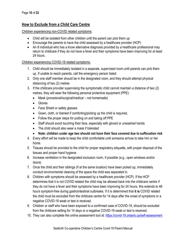# **How to Exclude from a Child Care Centre**

Children experiencing non-COVID related symptoms:

- Child will be isolated from other children until the parent can pick them up
- Encourage the parents to have the child assessed by a healthcare provider (HCP)
- An ill individual who has a know alternative diagnosis provided by a healthcare professional may return to childcare if they do not have a fever and their symptoms have been improving for at least 24 hours.

#### Children experiencing COVID-19 related symptoms:

- 1. Child should be immediately isolated in a separate, supervised room until parents can pick them up. If unable to reach parents, call the emergency person listed.
- 2. Only one staff member should be in the designated room, and they should attempt physical distancing of two (2) metres
- 3. If the childcare provider supervising the symptomatic child cannot maintain a distance of two (2) metres, they will wear the following personal protective equipment (PPE):
	- Mask (procedural/surgical/medical not homemade)
	- Gloves
	- Face Shield or safety glasses
	- Gown, cloth, or blanket if comforting/picking up the child is required,
	- Follow the proper steps for putting on and taking off PPE
	- Staff should avoid touching their face, especially with gloved or unwashed hands
	- The child should also wear a mask if tolerated
	- **Note: children under age two should not have their face covered due to suffocation risk**
- 4. Every effort will be made to keep the child comfortable until someone arrives to take him or her home.
- 5. Tissues should be provided to the child for proper respiratory etiquette, with proper disposal of the tissues and proper hand hygiene.
- 6. Increase ventilation in the designated exclusion room, if possible (e.g., open windows and/or doors)
- 7. Once the child and their siblings (if at the same location) have been picked up, immediately conduct environmental cleaning of the space the child was separated in.
- 8. Children with symptoms should be assessed by a healthcare provider (HCP). If the HCP determines that it is not COVID related the child may be allowed back into the childcare centre if they do not have a fever and their symptoms have been improving for 24 hours, this extends to 48 hours symptom-free during gastrointestinal outbreaks. If it is determined that **it is** COVID related the child must be excluded from the childcare centre for 14 days after the onset of symptoms or a negative COVID-19 swab or test is received.
- 9. Children or staff who have been exposed to a confirmed case of COVID-19, should be excluded from the childcare setting for 14 days or a negative COVID-19 swab or test is received.
- 10. They can also complete the online assessment tool at:<https://covid-19.ontario.ca/self-assessment>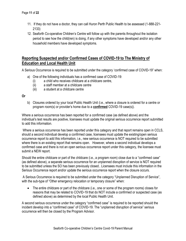- 11. If they do not have a doctor, they can call Huron Perth Public Health to be assessed (1-888-221- 2133)
- 12. Seaforth Co-operative Children's Centre will follow up with the parents throughout the isolation period to see how the child(ren) is doing, if any other symptoms have developed and/or any other household members have developed symptoms.

## **Reporting Suspected and/or Confirmed Cases of COVID-19 to The Ministry of Education and Local Health Unit**

A Serious Occurrence is required to be submitted under the category 'confirmed case of COVID-19" when:

- a) One of the following individuals has a confirmed case of COVID-19:
	- (i) a child who receives childcare at a childcare centre,
	- (ii) a staff member at a childcare centre
	- (iii) a student at a childcare centre

#### **Or**

b) Closures ordered by your local Public Health Unit (i.e., where a closure is ordered for a centre or program room(s) or provider's home due to a **confirmed** COVID-19 case(s)).

Where a serious occurrence has been reported for a confirmed case (as defined above) and the individual's test results are positive, licensees must update the original serious occurrence report submitted to add this information.

Where a serious occurrence has been reported under this category and that report remains open in CCLS, should a second individual develop a confirmed case, licensees must update the existing/open serious occurrence report to add this information, i.e., new serious occurrence is NOT required to be submitted where there is an existing report that remains open. However, where a second individual develops a confirmed case and there is not an open serious occurrence report under this category, the licensee must submit a NEW report.

Should the entire childcare or part of the childcare (i.e., a program room) close due to a "confirmed case" (as defined above), a separate serious occurrence for an unplanned disruption of service is NOT required to be submitted unless the SO has been previously closed.. Licensees must include this information in the Serious Occurrence report and/or update the serious occurrence report when the closure occurs.

A Serious Occurrence is required to be submitted under the category "Unplanned Disruption of Service", with the sub-type of "Other emergency relocation or temporary closure" when:

• The entire childcare or part of the childcare (i.e., one or some of the program rooms) closes for reasons that may be related to COVID-19 that do NOT include a confirmed or suspected case (as defined above) as determined by the local Public Health Unit.

A second serious occurrence under the category "confirmed case" is required to be reported should the incident develop into a "confirmed case" of COVID-19. The "unplanned disruption of service" serious occurrence will then be closed by the Program Advisor.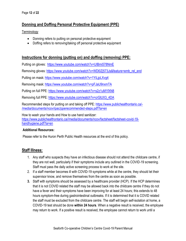# **Donning and Doffing Personal Protective Equipment (PPE)**

**Terminology** 

- Donning refers to putting on personal protective equipment
- Doffing refers to removing/taking off personal protective equipment

## **Instructions for donning (putting on) and doffing (removing) PPE:**

Putting on gloves:<https://www.youtube.com/watch?v=UIBmi578NmE>

Removing gloves: [https://www.youtube.com/watch?v=WDl0Zj573Js&feature=emb\\_rel\\_end](https://www.youtube.com/watch?v=WDl0Zj573Js&feature=emb_rel_end)

Putting on mask:<https://www.youtube.com/watch?v=1YiLjpLXvg4>

Removing mask:<https://www.youtube.com/watch?v=pFJaU9nxmTA>

Putting on full PPE:<https://www.youtube.com/watch?v=s2z1uM1fXN8>

Removing full PPE: [https://www.youtube.com/watch?v=crGlUX3\\_4DA](https://www.youtube.com/watch?v=crGlUX3_4DA)

Recommended steps for putting on and taking off PPE: [https://www.publichealthontario.ca/-](https://www.publichealthontario.ca/-/media/documents/ncov/ipac/pperecommended-steps.pdf?la=en) [/media/documents/ncov/ipac/pperecommended-steps.pdf?la=en](https://www.publichealthontario.ca/-/media/documents/ncov/ipac/pperecommended-steps.pdf?la=en)

How to wash your hands and How to use hand sanitizer: [https://www.publichealthontario.ca//media/documents/ncov/factsheet/factsheet-covid-19](https://www.publichealthontario.ca/media/documents/ncov/factsheet/factsheet-covid-19-handhygiene.pdf?la=en) [handhygiene.pdf?la=en](https://www.publichealthontario.ca/media/documents/ncov/factsheet/factsheet-covid-19-handhygiene.pdf?la=en)

#### **Additional Resources:**

Please refer to the Huron Perth Public Health resources at the end of this policy.

## **Staff Illness:**

- 1. Any staff who suspects they have an infectious disease should not attend the childcare centre, if they are not well, particularly if their symptoms include any outlined in the COVID-19 screening. Staff must pass the daily active screening process to work at the site.
- 2. If a staff member becomes ill with COVID-19 symptoms while at the centre, they should let their supervisor know, and remove themselves from the centre as soon as possible.
- **3.** Staff with symptoms should be assessed by a healthcare provider (HCP). If the HCP determines that it is not COVID related the staff may be allowed back into the childcare centre if they do not have a fever and their symptoms have been improving for at least 24 hours; this extends to 48 hours symptom-free during gastrointestinal outbreaks. If it is determined that it is COVID related the staff must be excluded from the childcare centre. The staff will begin self-isolation at home, a COVID-19 test should be done **within 24 hours**. When a negative result is received, the employee may return to work. If a positive result is received, the employee cannot return to work until a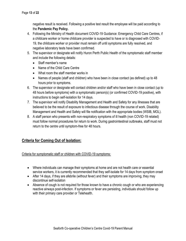negative result is received. Following a positive test result the employee will be paid according to the **Pandemic Pay Policy.**

- 4. Following the Ministry of Health document COVID-19 Guidance: Emergency Child Care Centres, if a childcare worker or home childcare provider is suspected to have or is diagnosed with COVID-19, the childcare worker or provider must remain off until symptoms are fully resolved, and negative laboratory tests have been confirmed.
- 5. The supervisor or designate will notify Huron Perth Public Health of the symptomatic staff member and include the following details:
	- Staff member's name
	- Name of the Child Care Centre
	- What room the staff member works in
	- Names of people (staff and children) who have been in close contact (as defined) up to 48 hours prior to symptoms.
- 6. The supervisor or designate will contact children and/or staff who have been in close contact (up to 48 hours before symptoms) with a symptomatic person(s) (or confirmed COVID-19 positive), with instructions to begin self-isolation for 14 days.
- 7. The supervisor will notify Disability Management and Health and Safety for any illnesses that are believed to be the result of exposure to infectious disease through the course of work. Disability Management and Health and Safety will file notification with the appropriate bodies (WSIB, MOL).
- 8. A staff person who presents with non-respiratory symptoms of ill health (non COVID-19 related) must follow normal procedures for return to work. During gastrointestinal outbreaks, staff must not return to the centre until symptom-free for 48 hours.

# **Criteria for Coming Out of Isolation:**

Criteria for symptomatic staff or children with COVID-19 symptoms:

- Where individuals can manage their symptoms at home and are not health care or essential service workers, it is currently recommended that they self-isolate for 14 days from symptom onset
- After 14 days, if they are afebrile (without fever) and their symptoms are improving, they may discontinue self-isolation
- Absence of cough is not required for those known to have a chronic cough or who are experiencing reactive airways post-infection. If symptoms or fever are persisting, individuals should follow up with their primary care provider or Telehealth.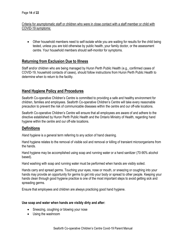Criteria for asymptomatic staff or children who were in close contact with a staff member or child with COVID-19 symptoms:

• Other household members need to self-isolate while you are waiting for results for the child being tested, unless you are told otherwise by public health, your family doctor, or the assessment centre. Your household members should self-monitor for symptoms.

#### **Returning from Exclusion Due to Illness**

Staff and/or children who are being managed by Huron Perth Public Health (e.g., confirmed cases of COVID-19, household contacts of cases), should follow instructions from Huron Perth Public Health to determine when to return to the facility.

## **Hand Hygiene Policy and Procedures**

Seaforth Co-operative Children's Centre is committed to providing a safe and healthy environment for children, families and employees. Seaforth Co-operative Children's Centre will take every reasonable precaution to prevent the risk of communicable diseases within the centre and our off-site locations.

Seaforth Co-operative Children's Centre will ensure that all employees are aware of and adhere to the directive established by Huron Perth Public Health and the Ontario Ministry of Health, regarding hand hygiene within the centre and our off-site locations.

## **Definitions**

*Hand hygiene* is a general term referring to any action of hand cleaning.

Hand hygiene relates to the removal of visible soil and removal or killing of transient microorganisms from the hands.

Hand hygiene may be accomplished using soap and running water or a hand sanitizer (70-90% alcohol based).

Hand washing with soap and running water must be performed when hands are visibly soiled.

Hands carry and spread germs. Touching your eyes, nose or mouth, or sneezing or coughing into your hands may provide an opportunity for germs to get into your body or spread to other people. Keeping your hands clean through good hygiene practice is one of the most important steps to avoid getting sick and spreading germs.

Ensure that employees and children are always practicing good hand hygiene.

#### **Use soap and water when hands are visibly dirty and after:**

- Sneezing, coughing or blowing your nose
- Using the washroom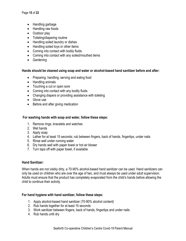- Handling garbage
- Handling raw foods
- Outdoor play
- Toileting/diapering routine
- Handling soiled laundry or dishes
- Handling soiled toys or other items
- Coming into contact with bodily fluids
- Coming into contact with any soiled/mouthed items
- Gardening

#### **Hands should be cleaned using soap and water or alcohol-based hand sanitizer before and after:**

- Preparing, handling, serving and eating food
- Handling animals
- Touching a cut or open sore
- Coming into contact with any bodily fluids
- Changing diapers or providing assistance with toileting
- Glove use
- Before and after giving medication

#### **For washing hands with soap and water, follow these steps:**

- 1. Remove rings, bracelets and watches
- 2. Wet hands
- 3. Apply soap
- 4. Lather for at least 15 seconds; rub between fingers, back of hands, fingertips, under nails
- 5. Rinse well under running water
- 6. Dry hands well with paper towel or hot air blower
- 7. Turn taps off with paper towel, if available

#### **Hand Sanitizer:**

When hands are not visibly dirty, a 70-90% alcohol-based hand sanitizer can be used. Hand sanitizers can only be used on children who are over the age of two, and must always be used under adult supervision. Adults must ensure that the product has completely evaporated from the child's hands before allowing the child to continue their activity.

#### **For hand hygiene with hand sanitizer, follow these steps:**

- 1. Apply alcohol-based hand sanitizer (70-90% alcohol content)
- 2. Rub hands together for at least 15 seconds
- 3. Work sanitizer between fingers, back of hands, fingertips and under nails
- 4. Rub hands until dry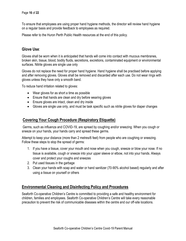To ensure that employees are using proper hand hygiene methods, the director will review hand hygiene on a regular basis and provide feedback to employees as required.

Please refer to the Huron Perth Public Health resources at the end of this policy.

## **Glove Use**:

Gloves shall be worn when it is anticipated that hands will come into contact with mucous membranes, broken skin, tissue, blood, bodily fluids, secretions, excretions, contaminated equipment or environmental surfaces. Nitrile gloves are single use only

Gloves do not replace the need for proper hand hygiene. Hand hygiene shall be practised before applying and after removing gloves. Gloves shall be removed and discarded after each use. Do not wear rings with gloves unless they have only a smooth band.

To reduce hand irritation related to gloves:

- Wear gloves for as short a time as possible
- Ensure that hands are clean and dry before wearing gloves
- Ensure gloves are intact, clean and dry inside
- Gloves are single use only, and must be task specific such as nitrile gloves for diaper changes

#### **Covering Your Cough Procedure (Respiratory Etiquette)**

Germs, such as influenza and COVID-19, are spread by coughing and/or sneezing. When you cough or sneeze on your hands, your hands carry and spread these germs.

Attempt to keep your distance (more than 2 metres/6 feet) from people who are coughing or sneezing. Follow these steps to stop the spread of germs:

- 1. If you have a tissue, cover your mouth and nose when you cough, sneeze or blow your nose. If no tissue is available, cough or sneeze into your upper sleeve or elbow, not into your hands. Always cover and protect your coughs and sneezes
- 2. Put used tissues in the garbage
- 3. Clean your hands with soap and water or hand sanitizer (70-90% alcohol based) regularly and after using a tissue on yourself or others

#### **Environmental Cleaning and Disinfecting Policy and Procedures**

Seaforth Co-operative Children's Centre is committed to providing a safe and healthy environment for children, families and employees. Seaforth Co-operative Children's Centre will take every reasonable precaution to prevent the risk of communicable diseases within the centre and our off-site locations.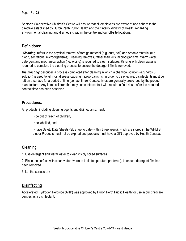Seaforth Co-operative Children's Centre will ensure that all employees are aware of and adhere to the directive established by Huron Perth Public Health and the Ontario Ministry of Health, regarding environmental cleaning and disinfecting within the centre and our off-site locations.

## **Definitions:**

*Cleaning:* refers to the physical removal of foreign material (e.g. dust, soil) and organic material (e.g. blood, secretions, microorganisms). Cleaning removes, rather than kills, microorganisms. Warm water, detergent and mechanical action (i.e. wiping) is required to clean surfaces. Rinsing with clean water is required to complete the cleaning process to ensure the detergent film is removed.

*Disinfecting***:** describes a process completed after cleaning in which a chemical solution (e.g. Virox 5 solution) is used to kill most disease-causing microorganisms. In order to be effective, disinfectants must be left on a surface for a period of time (contact time). Contact times are generally prescribed by the product manufacturer. Any items children that may come into contact with require a final rinse, after the required contact time has been observed.

#### **Procedures:**

All products, including cleaning agents and disinfectants, must:

- be out of reach of children,
- be labelled, and

• have Safety Data Sheets (SDS) up to date (within three years), which are stored in the WHMIS binder Products must not be expired and products must have a DIN approved by Health Canada.

## **Cleaning**

1. Use detergent and warm water to clean visibly soiled surfaces

2. Rinse the surface with clean water (warm to tepid temperature preferred), to ensure detergent film has been removed

3. Let the surface dry

#### **Disinfecting**

Accelerated Hydrogen Peroxide (AHP) was approved by Huron Perth Public Health for use in our childcare centres as a disinfectant.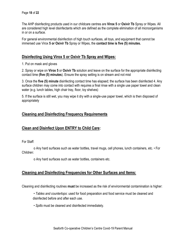The AHP disinfecting products used in our childcare centres are **Virox 5** or **Oxivir Tb** Spray or Wipes. All are considered high level disinfectants which are defined as the complete elimination of all microorganisms in or on a surface.

For general environmental disinfection of high touch surfaces, all toys, and equipment that cannot be immersed use Virox **5 or Oxivir Tb** Spray or Wipes, the **contact time is five (5) minutes.** 

#### **Disinfecting Using Virox 5 or Oxivir Tb Spray and Wipes:**

1. Put on mask and gloves

2. Spray or wipe on **Virox 5** or **Oxivir Tb** solution and leave on the surface for the appropriate disinfecting contact time **(five (5) minutes**). Ensure the spray setting is on stream and not mist

3. Once the **five (5) minute** disinfecting contact time has elapsed; the surface has been disinfected 4. Any surface children may come into contact with requires a final rinse with a single use paper towel and clean water (e.g. lunch tables, high chair tray, floor, toy shelves)

5. If the surface is still wet, you may wipe it dry with a single-use paper towel, which is then disposed of appropriately

## **Cleaning and Disinfecting Frequency Requirements**

## **Clean and Disinfect Upon ENTRY to Child Care:**

For Staff:

o Any hard surfaces such as water bottles, travel mugs, cell phones, lunch containers, etc. • For Children:

o Any hard surfaces such as water bottles, containers etc.

## **Cleaning and Disinfecting Frequencies for Other Surfaces and Items:**

Cleaning and disinfecting routines **must** be increased as the risk of environmental contamination is higher:

- *Tables and countertops*: used for food preparation and food service must be cleaned and disinfected before and after each use.
- *Spills* must be cleaned and disinfected immediately.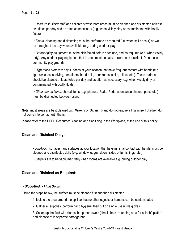• *Hand wash sinks*: staff and children's washroom areas must be cleaned and disinfected at least two times per day and as often as necessary (e.g. when visibly dirty or contaminated with bodily fluids).

• *Floors*: cleaning and disinfecting must be performed as required (i.e. when spills occur) as well as throughout the day when available (e.g. during outdoor play).

• *Outdoor play equipment*: must be disinfected before each use, and as required (e.g. when visibly dirty). Any outdoor play equipment that is used must be easy to clean and disinfect. Do not use community playgrounds.

• *High-touch surfaces*: any surfaces at your location that have frequent contact with hands (e.g. light switches, shelving, containers, hand rails, door knobs, sinks, toilets, etc.). These surfaces should be cleaned at least twice per day and as often as necessary (e.g. when visibly dirty or contaminated with bodily fluids).

• *Other shared items*: shared items (e.g. phones, iPads, iPods, attendance binders, pens, etc.) must be disinfected between users.

**Note:** most areas are best cleaned with **Virox 5 or Oxivir Tb** and do not require a final rinse if children do not come into contact with them.

Please refer to the HPPH Resource: Cleaning and Sanitizing in the Workplace, at the end of this policy.

## **Clean and Disinfect Daily:**

• Low-touch surfaces (any surfaces at your location that have minimal contact with hands) must be cleaned and disinfected daily (e.g. window ledges, doors, sides of furnishings, etc.)

• Carpets are to be vacuumed daily when rooms are available e.g. during outdoor play

#### **Clean and Disinfect as Required:**

#### *• Blood/Bodily Fluid Spills:*

Using the steps below, the surface must be cleaned first and then disinfected:

- 1. Isolate the area around the spill so that no other objects or humans can be contaminated
- 2. Gather all supplies, perform hand hygiene, then put on single use nitrile gloves

3. Scoop up the fluid with disposable paper towels (check the surrounding area for splash/splatter), and dispose of in separate garbage bag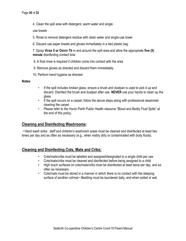4. Clean the spill area with detergent, warm water and single

use towels

- 5. Rinse to remove detergent residue with clean water and single-use towel
- 6. Discard use paper towels and gloves immediately in a tied plastic bag

7. Spray **Virox 5 or Oxivir Tb** in and around the spill area and allow the appropriate **five (5) minute** disinfecting contact time

8. A final rinse is required if children come into contact with the area

- 9. Remove gloves as directed and discard them immediately
- 10. Perform hand hygiene as directed

#### **Notes**:

- If the spill includes broken glass, ensure a brush and dustpan is used to pick it up and discard. Disinfect the brush and dustpan after use. **NEVER** use your hands to clean up the glass.
- If the spill occurs on a carpet, follow the above steps along with professional steam/wet cleaning the carpet
- Please refer to the Huron Perth Public Health resource "Blood and Bodily Fluid Spills" at the end of this policy.

## **Cleaning and Disinfecting Washrooms:**

• Hand wash sinks: staff and children's washroom areas must be cleaned and disinfected at least two times per day and as often as necessary (e.g., when visibly dirty or contaminated with body fluids).

# **Cleaning and Disinfecting Cots, Mats and Cribs:**

- Cots/mats/cribs must be labelled and assigned/designated to a single child per use
- Cots/mats/cribs must be cleaned and disinfected before being assigned to a child
- High touch surfaces on cots/mats/cribs must be disinfected at least twice per day, and as often as necessary
- Cots/mats must be stored in a manner in which there is no contact with the sleeping surface of another cot/mat • Bedding must be laundered daily, and when soiled or wet.